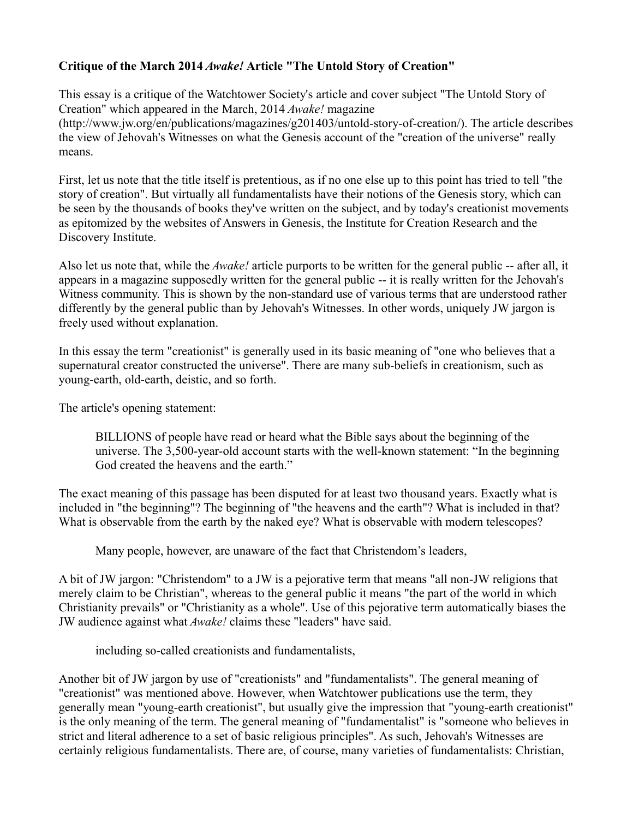# **Critique of the March 2014** *Awake!* **Article "The Untold Story of Creation"**

This essay is a critique of the Watchtower Society's article and cover subject "The Untold Story of Creation" which appeared in the March, 2014 *Awake!* magazine (http://www.jw.org/en/publications/magazines/g201403/untold-story-of-creation/). The article describes

the view of Jehovah's Witnesses on what the Genesis account of the "creation of the universe" really means.

First, let us note that the title itself is pretentious, as if no one else up to this point has tried to tell "the story of creation". But virtually all fundamentalists have their notions of the Genesis story, which can be seen by the thousands of books they've written on the subject, and by today's creationist movements as epitomized by the websites of Answers in Genesis, the Institute for Creation Research and the Discovery Institute.

Also let us note that, while the *Awake!* article purports to be written for the general public -- after all, it appears in a magazine supposedly written for the general public -- it is really written for the Jehovah's Witness community. This is shown by the non-standard use of various terms that are understood rather differently by the general public than by Jehovah's Witnesses. In other words, uniquely JW jargon is freely used without explanation.

In this essay the term "creationist" is generally used in its basic meaning of "one who believes that a supernatural creator constructed the universe". There are many sub-beliefs in creationism, such as young-earth, old-earth, deistic, and so forth.

The article's opening statement:

BILLIONS of people have read or heard what the Bible says about the beginning of the universe. The 3,500-year-old account starts with the well-known statement: "In the beginning God created the heavens and the earth."

The exact meaning of this passage has been disputed for at least two thousand years. Exactly what is included in "the beginning"? The beginning of "the heavens and the earth"? What is included in that? What is observable from the earth by the naked eye? What is observable with modern telescopes?

Many people, however, are unaware of the fact that Christendom's leaders,

A bit of JW jargon: "Christendom" to a JW is a pejorative term that means "all non-JW religions that merely claim to be Christian", whereas to the general public it means "the part of the world in which Christianity prevails" or "Christianity as a whole". Use of this pejorative term automatically biases the JW audience against what *Awake!* claims these "leaders" have said.

including so-called creationists and fundamentalists,

Another bit of JW jargon by use of "creationists" and "fundamentalists". The general meaning of "creationist" was mentioned above. However, when Watchtower publications use the term, they generally mean "young-earth creationist", but usually give the impression that "young-earth creationist" is the only meaning of the term. The general meaning of "fundamentalist" is "someone who believes in strict and literal adherence to a set of basic religious principles". As such, Jehovah's Witnesses are certainly religious fundamentalists. There are, of course, many varieties of fundamentalists: Christian,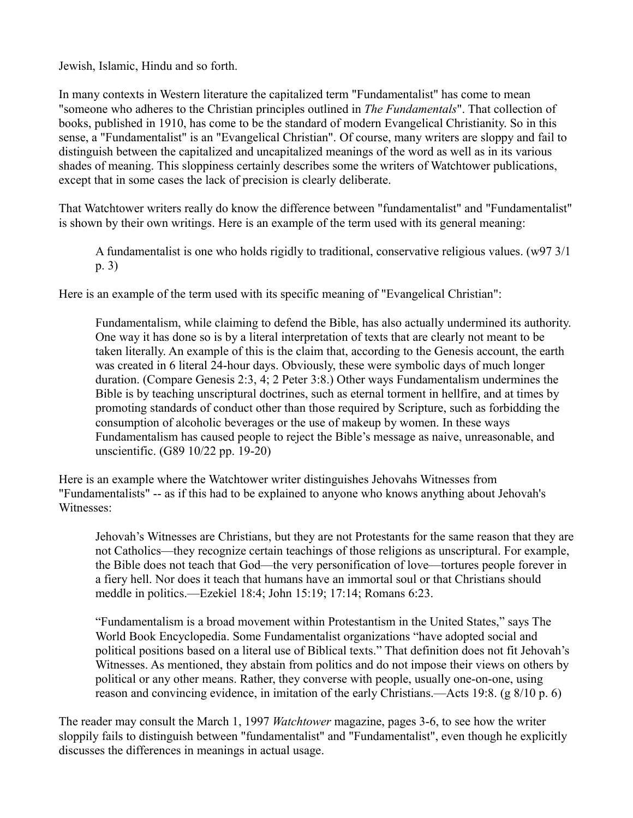Jewish, Islamic, Hindu and so forth.

In many contexts in Western literature the capitalized term "Fundamentalist" has come to mean "someone who adheres to the Christian principles outlined in *The Fundamentals*". That collection of books, published in 1910, has come to be the standard of modern Evangelical Christianity. So in this sense, a "Fundamentalist" is an "Evangelical Christian". Of course, many writers are sloppy and fail to distinguish between the capitalized and uncapitalized meanings of the word as well as in its various shades of meaning. This sloppiness certainly describes some the writers of Watchtower publications, except that in some cases the lack of precision is clearly deliberate.

That Watchtower writers really do know the difference between "fundamentalist" and "Fundamentalist" is shown by their own writings. Here is an example of the term used with its general meaning:

A fundamentalist is one who holds rigidly to traditional, conservative religious values. (w97 3/1 p. 3)

Here is an example of the term used with its specific meaning of "Evangelical Christian":

Fundamentalism, while claiming to defend the Bible, has also actually undermined its authority. One way it has done so is by a literal interpretation of texts that are clearly not meant to be taken literally. An example of this is the claim that, according to the Genesis account, the earth was created in 6 literal 24-hour days. Obviously, these were symbolic days of much longer duration. (Compare Genesis 2:3, 4; 2 Peter 3:8.) Other ways Fundamentalism undermines the Bible is by teaching unscriptural doctrines, such as eternal torment in hellfire, and at times by promoting standards of conduct other than those required by Scripture, such as forbidding the consumption of alcoholic beverages or the use of makeup by women. In these ways Fundamentalism has caused people to reject the Bible's message as naive, unreasonable, and unscientific. (G89 10/22 pp. 19-20)

Here is an example where the Watchtower writer distinguishes Jehovahs Witnesses from "Fundamentalists" -- as if this had to be explained to anyone who knows anything about Jehovah's Witnesses:

Jehovah's Witnesses are Christians, but they are not Protestants for the same reason that they are not Catholics—they recognize certain teachings of those religions as unscriptural. For example, the Bible does not teach that God—the very personification of love—tortures people forever in a fiery hell. Nor does it teach that humans have an immortal soul or that Christians should meddle in politics.—Ezekiel 18:4; John 15:19; 17:14; Romans 6:23.

"Fundamentalism is a broad movement within Protestantism in the United States," says The World Book Encyclopedia. Some Fundamentalist organizations "have adopted social and political positions based on a literal use of Biblical texts." That definition does not fit Jehovah's Witnesses. As mentioned, they abstain from politics and do not impose their views on others by political or any other means. Rather, they converse with people, usually one-on-one, using reason and convincing evidence, in imitation of the early Christians.—Acts 19:8. (g 8/10 p. 6)

The reader may consult the March 1, 1997 *Watchtower* magazine, pages 3-6, to see how the writer sloppily fails to distinguish between "fundamentalist" and "Fundamentalist", even though he explicitly discusses the differences in meanings in actual usage.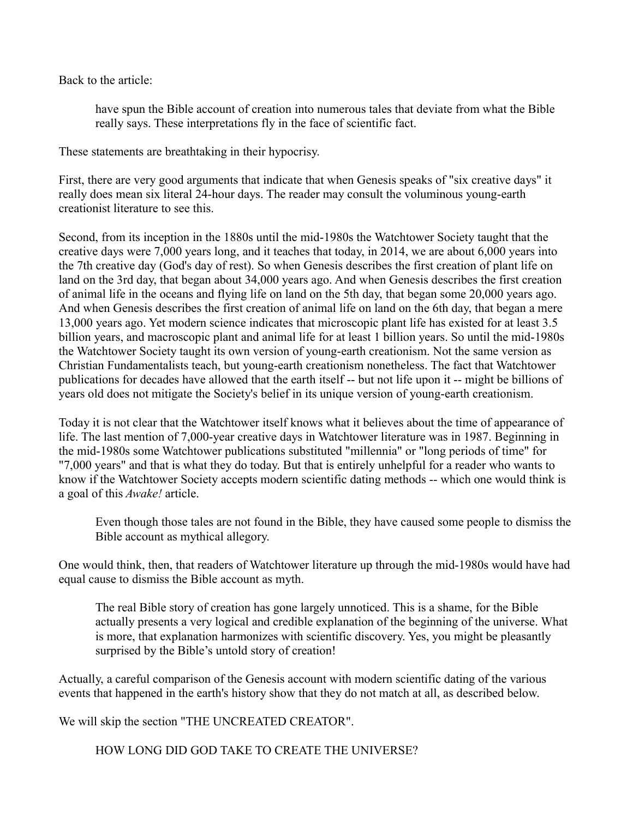Back to the article:

have spun the Bible account of creation into numerous tales that deviate from what the Bible really says. These interpretations fly in the face of scientific fact.

These statements are breathtaking in their hypocrisy.

First, there are very good arguments that indicate that when Genesis speaks of "six creative days" it really does mean six literal 24-hour days. The reader may consult the voluminous young-earth creationist literature to see this.

Second, from its inception in the 1880s until the mid-1980s the Watchtower Society taught that the creative days were 7,000 years long, and it teaches that today, in 2014, we are about 6,000 years into the 7th creative day (God's day of rest). So when Genesis describes the first creation of plant life on land on the 3rd day, that began about 34,000 years ago. And when Genesis describes the first creation of animal life in the oceans and flying life on land on the 5th day, that began some 20,000 years ago. And when Genesis describes the first creation of animal life on land on the 6th day, that began a mere 13,000 years ago. Yet modern science indicates that microscopic plant life has existed for at least 3.5 billion years, and macroscopic plant and animal life for at least 1 billion years. So until the mid-1980s the Watchtower Society taught its own version of young-earth creationism. Not the same version as Christian Fundamentalists teach, but young-earth creationism nonetheless. The fact that Watchtower publications for decades have allowed that the earth itself -- but not life upon it -- might be billions of years old does not mitigate the Society's belief in its unique version of young-earth creationism.

Today it is not clear that the Watchtower itself knows what it believes about the time of appearance of life. The last mention of 7,000-year creative days in Watchtower literature was in 1987. Beginning in the mid-1980s some Watchtower publications substituted "millennia" or "long periods of time" for "7,000 years" and that is what they do today. But that is entirely unhelpful for a reader who wants to know if the Watchtower Society accepts modern scientific dating methods -- which one would think is a goal of this *Awake!* article.

Even though those tales are not found in the Bible, they have caused some people to dismiss the Bible account as mythical allegory.

One would think, then, that readers of Watchtower literature up through the mid-1980s would have had equal cause to dismiss the Bible account as myth.

The real Bible story of creation has gone largely unnoticed. This is a shame, for the Bible actually presents a very logical and credible explanation of the beginning of the universe. What is more, that explanation harmonizes with scientific discovery. Yes, you might be pleasantly surprised by the Bible's untold story of creation!

Actually, a careful comparison of the Genesis account with modern scientific dating of the various events that happened in the earth's history show that they do not match at all, as described below.

We will skip the section "THE UNCREATED CREATOR".

HOW LONG DID GOD TAKE TO CREATE THE UNIVERSE?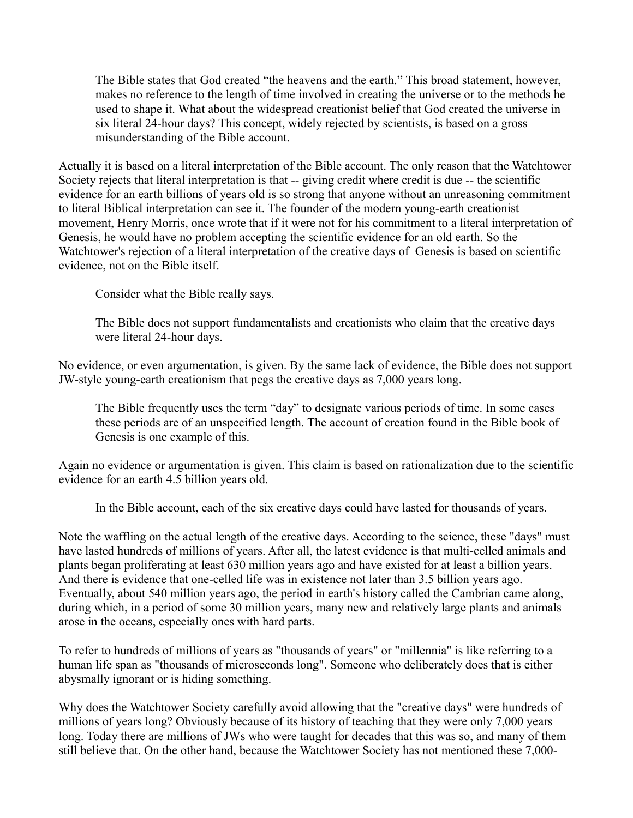The Bible states that God created "the heavens and the earth." This broad statement, however, makes no reference to the length of time involved in creating the universe or to the methods he used to shape it. What about the widespread creationist belief that God created the universe in six literal 24-hour days? This concept, widely rejected by scientists, is based on a gross misunderstanding of the Bible account.

Actually it is based on a literal interpretation of the Bible account. The only reason that the Watchtower Society rejects that literal interpretation is that -- giving credit where credit is due -- the scientific evidence for an earth billions of years old is so strong that anyone without an unreasoning commitment to literal Biblical interpretation can see it. The founder of the modern young-earth creationist movement, Henry Morris, once wrote that if it were not for his commitment to a literal interpretation of Genesis, he would have no problem accepting the scientific evidence for an old earth. So the Watchtower's rejection of a literal interpretation of the creative days of Genesis is based on scientific evidence, not on the Bible itself.

Consider what the Bible really says.

The Bible does not support fundamentalists and creationists who claim that the creative days were literal 24-hour days.

No evidence, or even argumentation, is given. By the same lack of evidence, the Bible does not support JW-style young-earth creationism that pegs the creative days as 7,000 years long.

The Bible frequently uses the term "day" to designate various periods of time. In some cases these periods are of an unspecified length. The account of creation found in the Bible book of Genesis is one example of this.

Again no evidence or argumentation is given. This claim is based on rationalization due to the scientific evidence for an earth 4.5 billion years old.

In the Bible account, each of the six creative days could have lasted for thousands of years.

Note the waffling on the actual length of the creative days. According to the science, these "days" must have lasted hundreds of millions of years. After all, the latest evidence is that multi-celled animals and plants began proliferating at least 630 million years ago and have existed for at least a billion years. And there is evidence that one-celled life was in existence not later than 3.5 billion years ago. Eventually, about 540 million years ago, the period in earth's history called the Cambrian came along, during which, in a period of some 30 million years, many new and relatively large plants and animals arose in the oceans, especially ones with hard parts.

To refer to hundreds of millions of years as "thousands of years" or "millennia" is like referring to a human life span as "thousands of microseconds long". Someone who deliberately does that is either abysmally ignorant or is hiding something.

Why does the Watchtower Society carefully avoid allowing that the "creative days" were hundreds of millions of years long? Obviously because of its history of teaching that they were only 7,000 years long. Today there are millions of JWs who were taught for decades that this was so, and many of them still believe that. On the other hand, because the Watchtower Society has not mentioned these 7,000-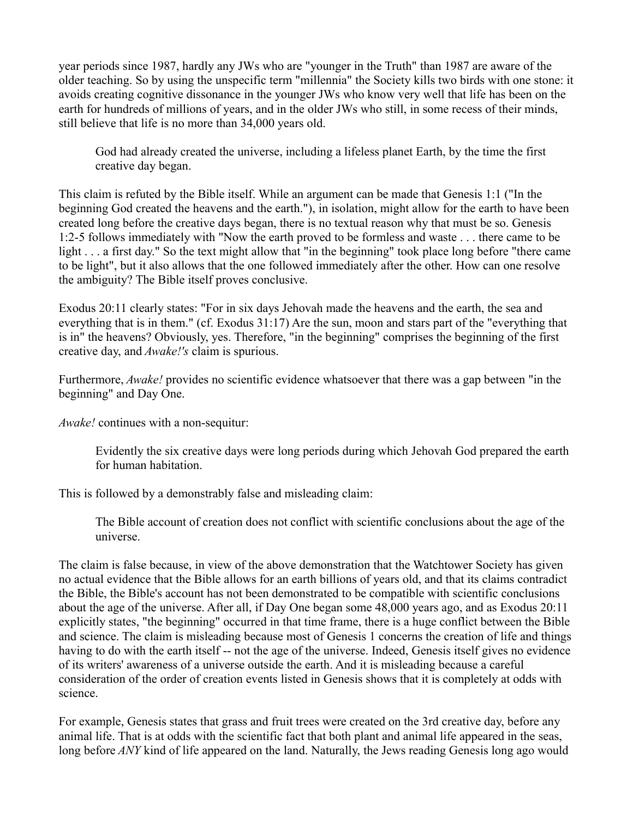year periods since 1987, hardly any JWs who are "younger in the Truth" than 1987 are aware of the older teaching. So by using the unspecific term "millennia" the Society kills two birds with one stone: it avoids creating cognitive dissonance in the younger JWs who know very well that life has been on the earth for hundreds of millions of years, and in the older JWs who still, in some recess of their minds, still believe that life is no more than 34,000 years old.

God had already created the universe, including a lifeless planet Earth, by the time the first creative day began.

This claim is refuted by the Bible itself. While an argument can be made that Genesis 1:1 ("In the beginning God created the heavens and the earth."), in isolation, might allow for the earth to have been created long before the creative days began, there is no textual reason why that must be so. Genesis 1:2-5 follows immediately with "Now the earth proved to be formless and waste . . . there came to be light . . . a first day." So the text might allow that "in the beginning" took place long before "there came to be light", but it also allows that the one followed immediately after the other. How can one resolve the ambiguity? The Bible itself proves conclusive.

Exodus 20:11 clearly states: "For in six days Jehovah made the heavens and the earth, the sea and everything that is in them." (cf. Exodus 31:17) Are the sun, moon and stars part of the "everything that is in" the heavens? Obviously, yes. Therefore, "in the beginning" comprises the beginning of the first creative day, and *Awake!'s* claim is spurious.

Furthermore, *Awake!* provides no scientific evidence whatsoever that there was a gap between "in the beginning" and Day One.

*Awake!* continues with a non-sequitur:

Evidently the six creative days were long periods during which Jehovah God prepared the earth for human habitation.

This is followed by a demonstrably false and misleading claim:

The Bible account of creation does not conflict with scientific conclusions about the age of the universe.

The claim is false because, in view of the above demonstration that the Watchtower Society has given no actual evidence that the Bible allows for an earth billions of years old, and that its claims contradict the Bible, the Bible's account has not been demonstrated to be compatible with scientific conclusions about the age of the universe. After all, if Day One began some 48,000 years ago, and as Exodus 20:11 explicitly states, "the beginning" occurred in that time frame, there is a huge conflict between the Bible and science. The claim is misleading because most of Genesis 1 concerns the creation of life and things having to do with the earth itself -- not the age of the universe. Indeed, Genesis itself gives no evidence of its writers' awareness of a universe outside the earth. And it is misleading because a careful consideration of the order of creation events listed in Genesis shows that it is completely at odds with science.

For example, Genesis states that grass and fruit trees were created on the 3rd creative day, before any animal life. That is at odds with the scientific fact that both plant and animal life appeared in the seas, long before *ANY* kind of life appeared on the land. Naturally, the Jews reading Genesis long ago would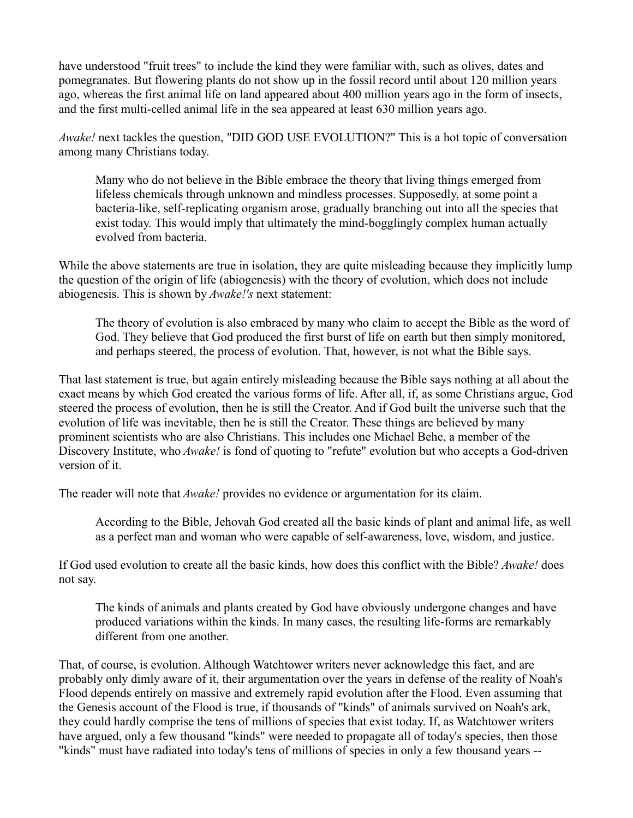have understood "fruit trees" to include the kind they were familiar with, such as olives, dates and pomegranates. But flowering plants do not show up in the fossil record until about 120 million years ago, whereas the first animal life on land appeared about 400 million years ago in the form of insects, and the first multi-celled animal life in the sea appeared at least 630 million years ago.

*Awake!* next tackles the question, "DID GOD USE EVOLUTION?" This is a hot topic of conversation among many Christians today.

Many who do not believe in the Bible embrace the theory that living things emerged from lifeless chemicals through unknown and mindless processes. Supposedly, at some point a bacteria-like, self-replicating organism arose, gradually branching out into all the species that exist today. This would imply that ultimately the mind-bogglingly complex human actually evolved from bacteria.

While the above statements are true in isolation, they are quite misleading because they implicitly lump the question of the origin of life (abiogenesis) with the theory of evolution, which does not include abiogenesis. This is shown by *Awake!'s* next statement:

The theory of evolution is also embraced by many who claim to accept the Bible as the word of God. They believe that God produced the first burst of life on earth but then simply monitored, and perhaps steered, the process of evolution. That, however, is not what the Bible says.

That last statement is true, but again entirely misleading because the Bible says nothing at all about the exact means by which God created the various forms of life. After all, if, as some Christians argue, God steered the process of evolution, then he is still the Creator. And if God built the universe such that the evolution of life was inevitable, then he is still the Creator. These things are believed by many prominent scientists who are also Christians. This includes one Michael Behe, a member of the Discovery Institute, who *Awake!* is fond of quoting to "refute" evolution but who accepts a God-driven version of it.

The reader will note that *Awake!* provides no evidence or argumentation for its claim.

According to the Bible, Jehovah God created all the basic kinds of plant and animal life, as well as a perfect man and woman who were capable of self-awareness, love, wisdom, and justice.

If God used evolution to create all the basic kinds, how does this conflict with the Bible? *Awake!* does not say.

The kinds of animals and plants created by God have obviously undergone changes and have produced variations within the kinds. In many cases, the resulting life-forms are remarkably different from one another.

That, of course, is evolution. Although Watchtower writers never acknowledge this fact, and are probably only dimly aware of it, their argumentation over the years in defense of the reality of Noah's Flood depends entirely on massive and extremely rapid evolution after the Flood. Even assuming that the Genesis account of the Flood is true, if thousands of "kinds" of animals survived on Noah's ark, they could hardly comprise the tens of millions of species that exist today. If, as Watchtower writers have argued, only a few thousand "kinds" were needed to propagate all of today's species, then those "kinds" must have radiated into today's tens of millions of species in only a few thousand years --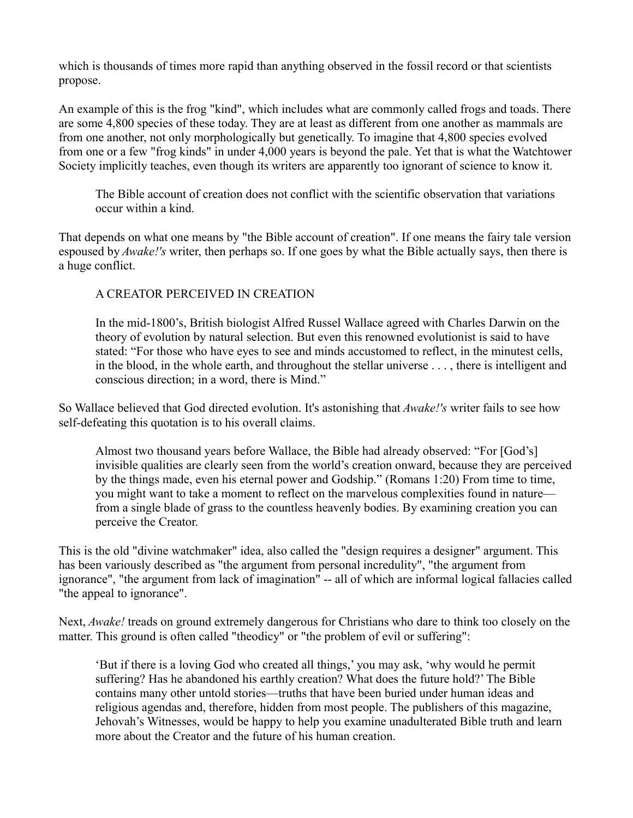which is thousands of times more rapid than anything observed in the fossil record or that scientists propose.

An example of this is the frog "kind", which includes what are commonly called frogs and toads. There are some 4,800 species of these today. They are at least as different from one another as mammals are from one another, not only morphologically but genetically. To imagine that 4,800 species evolved from one or a few "frog kinds" in under 4,000 years is beyond the pale. Yet that is what the Watchtower Society implicitly teaches, even though its writers are apparently too ignorant of science to know it.

The Bible account of creation does not conflict with the scientific observation that variations occur within a kind.

That depends on what one means by "the Bible account of creation". If one means the fairy tale version espoused by *Awake!'s* writer, then perhaps so. If one goes by what the Bible actually says, then there is a huge conflict.

## A CREATOR PERCEIVED IN CREATION

In the mid-1800's, British biologist Alfred Russel Wallace agreed with Charles Darwin on the theory of evolution by natural selection. But even this renowned evolutionist is said to have stated: "For those who have eyes to see and minds accustomed to reflect, in the minutest cells, in the blood, in the whole earth, and throughout the stellar universe . . . , there is intelligent and conscious direction; in a word, there is Mind."

So Wallace believed that God directed evolution. It's astonishing that *Awake!'s* writer fails to see how self-defeating this quotation is to his overall claims.

Almost two thousand years before Wallace, the Bible had already observed: "For [God's] invisible qualities are clearly seen from the world's creation onward, because they are perceived by the things made, even his eternal power and Godship." (Romans 1:20) From time to time, you might want to take a moment to reflect on the marvelous complexities found in nature from a single blade of grass to the countless heavenly bodies. By examining creation you can perceive the Creator.

This is the old "divine watchmaker" idea, also called the "design requires a designer" argument. This has been variously described as "the argument from personal incredulity", "the argument from ignorance", "the argument from lack of imagination" -- all of which are informal logical fallacies called "the appeal to ignorance".

Next, *Awake!* treads on ground extremely dangerous for Christians who dare to think too closely on the matter. This ground is often called "theodicy" or "the problem of evil or suffering":

'But if there is a loving God who created all things,' you may ask, 'why would he permit suffering? Has he abandoned his earthly creation? What does the future hold?' The Bible contains many other untold stories—truths that have been buried under human ideas and religious agendas and, therefore, hidden from most people. The publishers of this magazine, Jehovah's Witnesses, would be happy to help you examine unadulterated Bible truth and learn more about the Creator and the future of his human creation.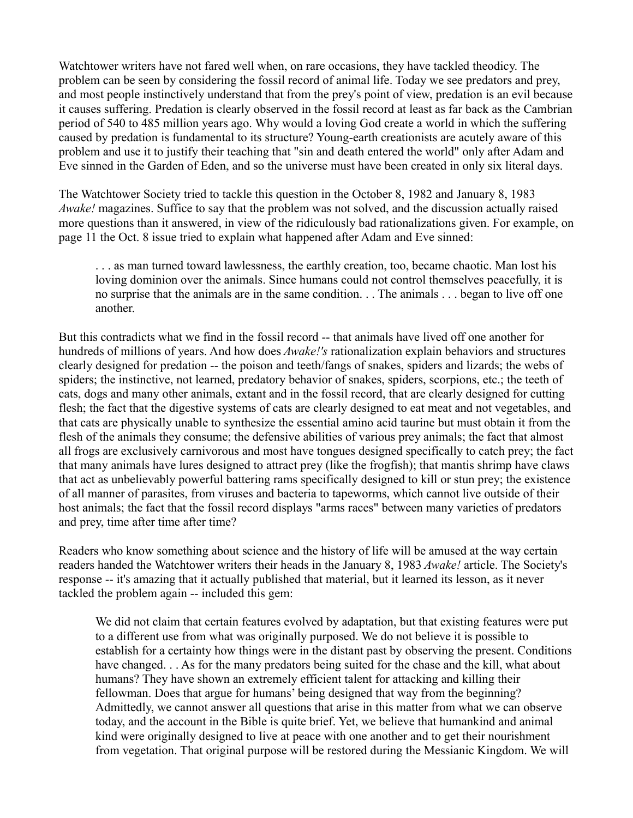Watchtower writers have not fared well when, on rare occasions, they have tackled theodicy. The problem can be seen by considering the fossil record of animal life. Today we see predators and prey, and most people instinctively understand that from the prey's point of view, predation is an evil because it causes suffering. Predation is clearly observed in the fossil record at least as far back as the Cambrian period of 540 to 485 million years ago. Why would a loving God create a world in which the suffering caused by predation is fundamental to its structure? Young-earth creationists are acutely aware of this problem and use it to justify their teaching that "sin and death entered the world" only after Adam and Eve sinned in the Garden of Eden, and so the universe must have been created in only six literal days.

The Watchtower Society tried to tackle this question in the October 8, 1982 and January 8, 1983 *Awake!* magazines. Suffice to say that the problem was not solved, and the discussion actually raised more questions than it answered, in view of the ridiculously bad rationalizations given. For example, on page 11 the Oct. 8 issue tried to explain what happened after Adam and Eve sinned:

. . . as man turned toward lawlessness, the earthly creation, too, became chaotic. Man lost his loving dominion over the animals. Since humans could not control themselves peacefully, it is no surprise that the animals are in the same condition. . . The animals . . . began to live off one another.

But this contradicts what we find in the fossil record -- that animals have lived off one another for hundreds of millions of years. And how does *Awake!'s* rationalization explain behaviors and structures clearly designed for predation -- the poison and teeth/fangs of snakes, spiders and lizards; the webs of spiders; the instinctive, not learned, predatory behavior of snakes, spiders, scorpions, etc.; the teeth of cats, dogs and many other animals, extant and in the fossil record, that are clearly designed for cutting flesh; the fact that the digestive systems of cats are clearly designed to eat meat and not vegetables, and that cats are physically unable to synthesize the essential amino acid taurine but must obtain it from the flesh of the animals they consume; the defensive abilities of various prey animals; the fact that almost all frogs are exclusively carnivorous and most have tongues designed specifically to catch prey; the fact that many animals have lures designed to attract prey (like the frogfish); that mantis shrimp have claws that act as unbelievably powerful battering rams specifically designed to kill or stun prey; the existence of all manner of parasites, from viruses and bacteria to tapeworms, which cannot live outside of their host animals; the fact that the fossil record displays "arms races" between many varieties of predators and prey, time after time after time?

Readers who know something about science and the history of life will be amused at the way certain readers handed the Watchtower writers their heads in the January 8, 1983 *Awake!* article. The Society's response -- it's amazing that it actually published that material, but it learned its lesson, as it never tackled the problem again -- included this gem:

We did not claim that certain features evolved by adaptation, but that existing features were put to a different use from what was originally purposed. We do not believe it is possible to establish for a certainty how things were in the distant past by observing the present. Conditions have changed. . . As for the many predators being suited for the chase and the kill, what about humans? They have shown an extremely efficient talent for attacking and killing their fellowman. Does that argue for humans' being designed that way from the beginning? Admittedly, we cannot answer all questions that arise in this matter from what we can observe today, and the account in the Bible is quite brief. Yet, we believe that humankind and animal kind were originally designed to live at peace with one another and to get their nourishment from vegetation. That original purpose will be restored during the Messianic Kingdom. We will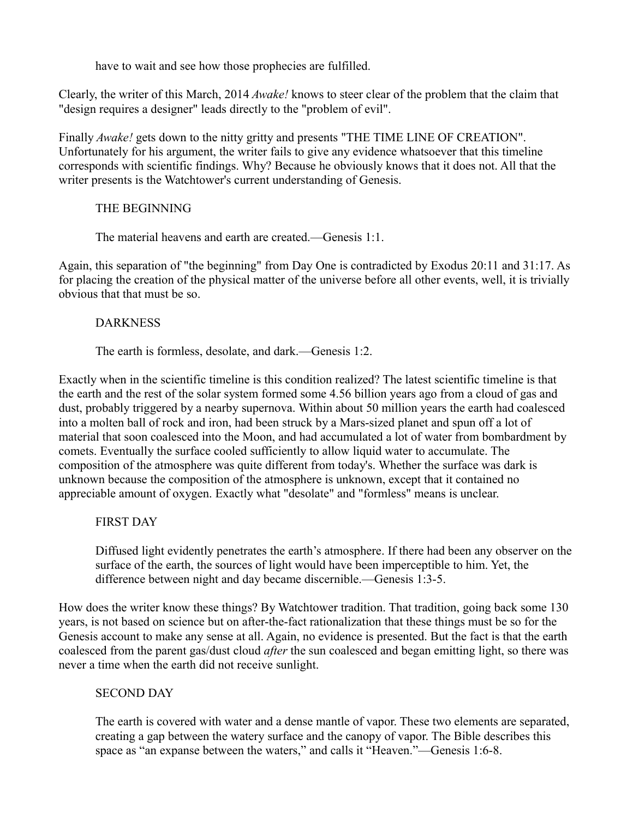have to wait and see how those prophecies are fulfilled.

Clearly, the writer of this March, 2014 *Awake!* knows to steer clear of the problem that the claim that "design requires a designer" leads directly to the "problem of evil".

Finally *Awake!* gets down to the nitty gritty and presents "THE TIME LINE OF CREATION". Unfortunately for his argument, the writer fails to give any evidence whatsoever that this timeline corresponds with scientific findings. Why? Because he obviously knows that it does not. All that the writer presents is the Watchtower's current understanding of Genesis.

## THE BEGINNING

### The material heavens and earth are created.—Genesis 1:1.

Again, this separation of "the beginning" from Day One is contradicted by Exodus 20:11 and 31:17. As for placing the creation of the physical matter of the universe before all other events, well, it is trivially obvious that that must be so.

### DARKNESS

### The earth is formless, desolate, and dark.—Genesis 1:2.

Exactly when in the scientific timeline is this condition realized? The latest scientific timeline is that the earth and the rest of the solar system formed some 4.56 billion years ago from a cloud of gas and dust, probably triggered by a nearby supernova. Within about 50 million years the earth had coalesced into a molten ball of rock and iron, had been struck by a Mars-sized planet and spun off a lot of material that soon coalesced into the Moon, and had accumulated a lot of water from bombardment by comets. Eventually the surface cooled sufficiently to allow liquid water to accumulate. The composition of the atmosphere was quite different from today's. Whether the surface was dark is unknown because the composition of the atmosphere is unknown, except that it contained no appreciable amount of oxygen. Exactly what "desolate" and "formless" means is unclear.

## FIRST DAY

Diffused light evidently penetrates the earth's atmosphere. If there had been any observer on the surface of the earth, the sources of light would have been imperceptible to him. Yet, the difference between night and day became discernible.—Genesis 1:3-5.

How does the writer know these things? By Watchtower tradition. That tradition, going back some 130 years, is not based on science but on after-the-fact rationalization that these things must be so for the Genesis account to make any sense at all. Again, no evidence is presented. But the fact is that the earth coalesced from the parent gas/dust cloud *after* the sun coalesced and began emitting light, so there was never a time when the earth did not receive sunlight.

## SECOND DAY

The earth is covered with water and a dense mantle of vapor. These two elements are separated, creating a gap between the watery surface and the canopy of vapor. The Bible describes this space as "an expanse between the waters," and calls it "Heaven."—Genesis 1:6-8.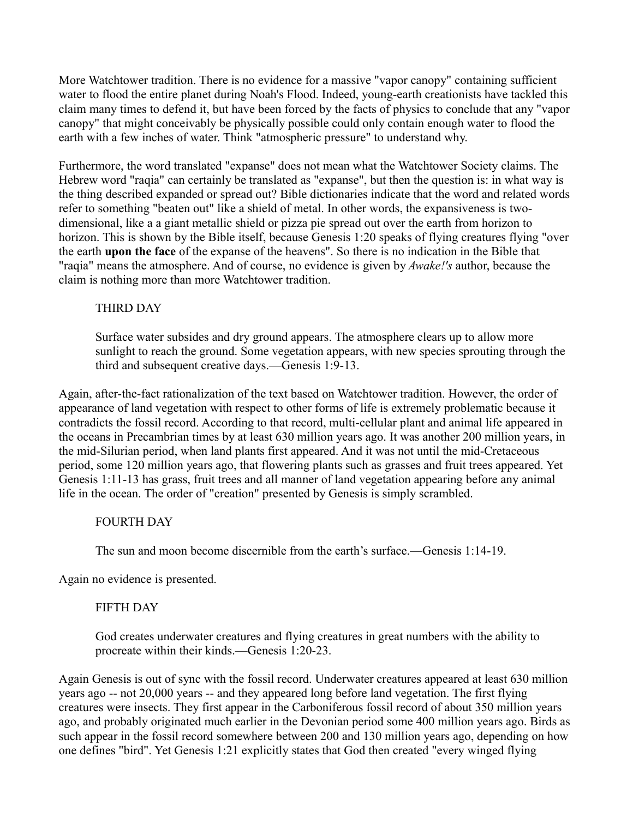More Watchtower tradition. There is no evidence for a massive "vapor canopy" containing sufficient water to flood the entire planet during Noah's Flood. Indeed, young-earth creationists have tackled this claim many times to defend it, but have been forced by the facts of physics to conclude that any "vapor canopy" that might conceivably be physically possible could only contain enough water to flood the earth with a few inches of water. Think "atmospheric pressure" to understand why.

Furthermore, the word translated "expanse" does not mean what the Watchtower Society claims. The Hebrew word "raqia" can certainly be translated as "expanse", but then the question is: in what way is the thing described expanded or spread out? Bible dictionaries indicate that the word and related words refer to something "beaten out" like a shield of metal. In other words, the expansiveness is twodimensional, like a a giant metallic shield or pizza pie spread out over the earth from horizon to horizon. This is shown by the Bible itself, because Genesis 1:20 speaks of flying creatures flying "over the earth **upon the face** of the expanse of the heavens". So there is no indication in the Bible that "raqia" means the atmosphere. And of course, no evidence is given by *Awake!'s* author, because the claim is nothing more than more Watchtower tradition.

### THIRD DAY

Surface water subsides and dry ground appears. The atmosphere clears up to allow more sunlight to reach the ground. Some vegetation appears, with new species sprouting through the third and subsequent creative days.—Genesis 1:9-13.

Again, after-the-fact rationalization of the text based on Watchtower tradition. However, the order of appearance of land vegetation with respect to other forms of life is extremely problematic because it contradicts the fossil record. According to that record, multi-cellular plant and animal life appeared in the oceans in Precambrian times by at least 630 million years ago. It was another 200 million years, in the mid-Silurian period, when land plants first appeared. And it was not until the mid-Cretaceous period, some 120 million years ago, that flowering plants such as grasses and fruit trees appeared. Yet Genesis 1:11-13 has grass, fruit trees and all manner of land vegetation appearing before any animal life in the ocean. The order of "creation" presented by Genesis is simply scrambled.

#### FOURTH DAY

The sun and moon become discernible from the earth's surface.—Genesis 1:14-19.

Again no evidence is presented.

#### FIFTH DAY

God creates underwater creatures and flying creatures in great numbers with the ability to procreate within their kinds.—Genesis 1:20-23.

Again Genesis is out of sync with the fossil record. Underwater creatures appeared at least 630 million years ago -- not 20,000 years -- and they appeared long before land vegetation. The first flying creatures were insects. They first appear in the Carboniferous fossil record of about 350 million years ago, and probably originated much earlier in the Devonian period some 400 million years ago. Birds as such appear in the fossil record somewhere between 200 and 130 million years ago, depending on how one defines "bird". Yet Genesis 1:21 explicitly states that God then created "every winged flying